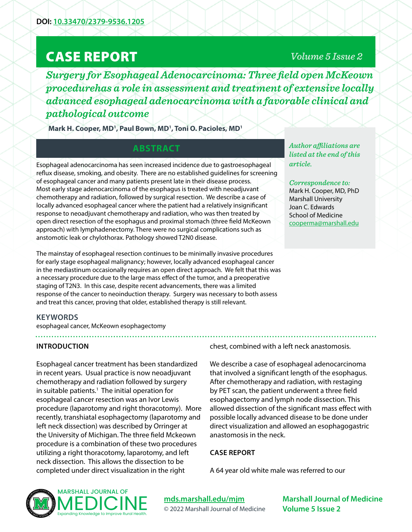# CASE REPORT

# *Volume 5 Issue 2*

*Surgery for Esophageal Adenocarcinoma: Three field open McKeown procedurehas a role in assessment and treatment of extensive locally advanced esophageal adenocarcinoma with a favorable clinical and pathological outcome*

Mark H. Cooper, MD<sup>1</sup>, Paul Bown, MD<sup>1</sup>, Toni O. Pacioles, MD<sup>1</sup>

# **ABSTRACT**

Esophageal adenocarcinoma has seen increased incidence due to gastroesophageal reflux disease, smoking, and obesity. There are no established guidelines for screening of esophageal cancer and many patients present late in their disease process. Most early stage adenocarcinoma of the esophagus is treated with neoadjuvant chemotherapy and radiation, followed by surgical resection. We describe a case of locally advanced esophageal cancer where the patient had a relatively insignificant response to neoadjuvant chemotherapy and radiation, who was then treated by open direct resection of the esophagus and proximal stomach (three field McKeown approach) with lymphadenectomy. There were no surgical complications such as anstomotic leak or chylothorax. Pathology showed T2N0 disease.

The mainstay of esophageal resection continues to be minimally invasive procedures for early stage esophageal malignancy; however, locally advanced esophageal cancer in the mediastinum occasionally requires an open direct approach. We felt that this was a necessary procedure due to the large mass effect of the tumor, and a preoperative staging of T2N3. In this case, despite recent advancements, there was a limited response of the cancer to neoinduction therapy. Surgery was necessary to both assess and treat this cancer, proving that older, established therapy is still relevant.

*Author affiliations are listed at the end of this article.* 

#### *Correspondence to:*

Mark H. Cooper, MD, PhD Marshall University Joan C. Edwards School of Medicine [cooperma@marshall.edu](mailto:cooperma%40marshall.edu?subject=)

## **KEYWORDS**

esophageal cancer, McKeown esophagectomy

#### **INTRODUCTION**

Esophageal cancer treatment has been standardized in recent years. Usual practice is now neoadjuvant chemotherapy and radiation followed by surgery in suitable patients.<sup>1</sup> The initial operation for esophageal cancer resection was an Ivor Lewis procedure (laparotomy and right thoracotomy). More recently, transhiatal esophagectomy (laparotomy and left neck dissection) was described by Orringer at the University of Michigan. The three field Mckeown procedure is a combination of these two procedures utilizing a right thoracotomy, laparotomy, and left neck dissection. This allows the dissection to be completed under direct visualization in the right

chest, combined with a left neck anastomosis.

We describe a case of esophageal adenocarcinoma that involved a significant length of the esophagus. After chemotherapy and radiation, with restaging by PET scan, the patient underwent a three field esophagectomy and lymph node dissection. This allowed dissection of the significant mass effect with possible locally advanced disease to be done under direct visualization and allowed an esophagogastric anastomosis in the neck.

#### **CASE REPORT**

A 64 year old white male was referred to our



**[mds.marshall.edu/mjm](https://mds.marshall.edu/mjm/)** © 2022 Marshall Journal of Medicine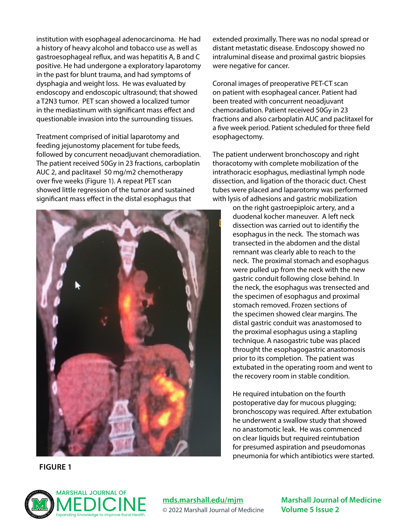institution with esophageal adenocarcinoma. He had a history of heavy alcohol and tobacco use as well as gastroesophageal reflux, and was hepatitis A, B and C positive. He had undergone a exploratory laparotomy in the past for blunt trauma, and had symptoms of dysphagia and weight loss. He was evaluated by endoscopy and endoscopic ultrasound; that showed a T2N3 tumor. PET scan showed a localized tumor in the mediastinum with significant mass effect and questionable invasion into the surrounding tissues.

Treatment comprised of initial laparotomy and feeding jejunostomy placement for tube feeds, followed by concurrent neoadjuvant chemoradiation. The patient received 50Gy in 23 fractions, carboplatin AUC 2, and paclitaxel 50 mg/m2 chemotherapy over five weeks (Figure 1). A repeat PET scan showed little regression of the tumor and sustained significant mass effect in the distal esophagus that



**FIGURE 1**

extended proximally. There was no nodal spread or distant metastatic disease. Endoscopy showed no intraluminal disease and proximal gastric biopsies were negative for cancer.

Coronal images of preoperative PET-CT scan on patient with esophageal cancer. Patient had been treated with concurrent neoadjuvant chemoradiation. Patient received 50Gy in 23 fractions and also carboplatin AUC and paclitaxel for a five week period. Patient scheduled for three field esophagectomy.

The patient underwent bronchoscopy and right thoracotomy with complete mobilization of the intrathoracic esophagus, mediastinal lymph node dissection, and ligation of the thoracic duct. Chest tubes were placed and laparotomy was performed with lysis of adhesions and gastric mobilization

on the right gastroepiploic artery, and a duodenal kocher maneuver. A left neck dissection was carried out to identifiy the esophagus in the neck. The stomach was transected in the abdomen and the distal remnant was clearly able to reach to the neck. The proximal stomach and esophagus were pulled up from the neck with the new gastric conduit following close behind. In the neck, the esophagus was trensected and the specimen of esophagus and proximal stomach removed. Frozen sections of the specimen showed clear margins. The distal gastric conduit was anastomosed to the proximal esophagus using a stapling technique. A nasogastric tube was placed throught the esophagogastric anastomosis prior to its completion. The patient was extubated in the operating room and went to the recovery room in stable condition.

He required intubation on the fourth postoperative day for mucous plugging; bronchoscopy was required. After extubation he underwent a swallow study that showed no anastomotic leak. He was commenced on clear liquids but required reintubation for presumed aspiration and pseudomonas pneumonia for which antibiotics were started.



**[mds.marshall.edu/mjm](https://mds.marshall.edu/mjm/)** © 2022 Marshall Journal of Medicine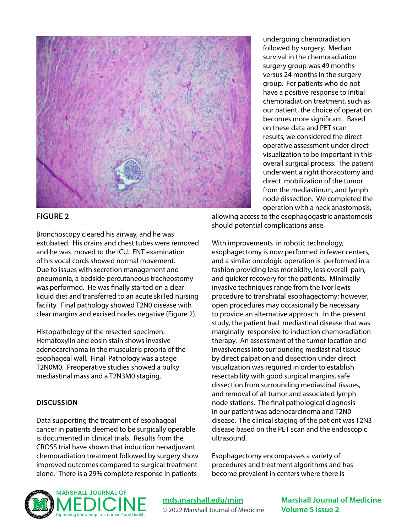

#### **FIGURE 2**

Bronchoscopy cleared his airway, and he was extubated. His drains and chest tubes were removed and he was moved to the ICU. ENT examination of his vocal cords showed normal movement. Due to issues with secretion management and pneumonia, a bedside percutaneous tracheostomy was performed. He was finally started on a clear liquid diet and transferred to an acute skilled nursing facility. Final pathology showed T2N0 disease with clear margins and excised nodes negative (Figure 2).

Histopathology of the resected specimen. Hematoxylin and eosin stain shows invasive adenocarcinoma in the muscularis propria of the esophageal wall. Final Pathology was a stage T2N0M0. Preoperative studies showed a bulky mediastinal mass and a T2N3M0 staging.

## **DISCUSSION**

Data supporting the treatment of esophageal cancer in patients deemed to be surgically operable is documented in clinical trials. Results from the CROSS trial have shown that induction neoadjuvant chemoradiation treatment followed by surgery show improved outcomes compared to surgical treatment alone.1 There is a 29% complete response in patients

undergoing chemoradiation followed by surgery. Median survival in the chemoradiation surgery group was 49 months versus 24 months in the surgery group. For patients who do not have a positive response to initial chemoradiation treatment, such as our patient, the choice of operation becomes more significant. Based on these data and PET scan results, we considered the direct operative assessment under direct visualization to be important in this overall surgical process. The patient underwent a right thoracotomy and direct mobilization of the tumor from the mediastinum, and lymph node dissection. We completed the operation with a neck anastomosis,

allowing access to the esophagogastric anastomosis should potential complications arise.

With improvements in robotic technology, esophagectomy is now performed in fewer centers, and a similar oncologic operation is performed in a fashion providing less morbidity, less overall pain, and quicker recovery for the patients. Minimally invasive techniques range from the Ivor lewis procedure to transhiatal esophagectomy; however, open procedures may occasionally be necessary to provide an alternative approach. In the present study, the patient had mediastinal disease that was marginally responsive to induction chemoradiation therapy. An assessment of the tumor location and invasiveness into surrounding mediastinal tissue by direct palpation and dissection under direct visualization was required in order to establish resectability with good surgical margins, safe dissection from surrounding mediastinal tissues, and removal of all tumor and associated lymph node stations. The final pathological diagnosis in our patient was adenocarcinoma and T2N0 disease. The clinical staging of the patient was T2N3 disease based on the PET scan and the endoscopic ultrasound.

Esophagectomy encompasses a variety of procedures and treatment algorithms and has become prevalent in centers where there is



**[mds.marshall.edu/mjm](https://mds.marshall.edu/mjm/)** © 2022 Marshall Journal of Medicine